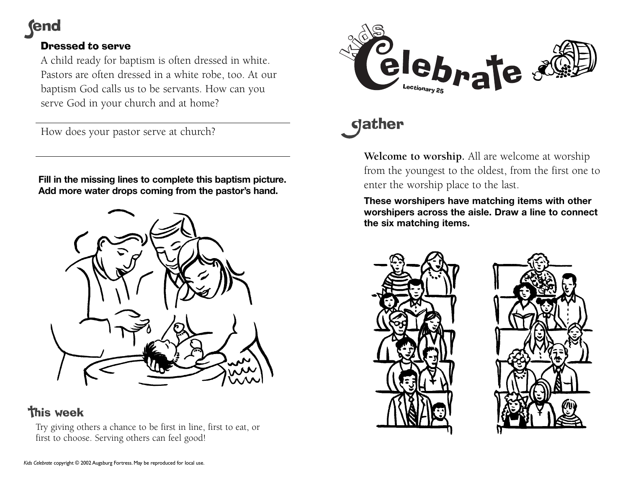**end** 

## Dressed to serve

A child ready for baptism is often dressed in white. Pastors are often dressed in a white robe, too. At our baptism God calls us to be servants. How can you serve God in your church and at home?

How does your pastor serve at church?

**Fill in the missing lines to complete this baptism picture. Add more water drops coming from the pastor's hand.**



# **this week**

Try giving others a chance to be first in line, first to eat, or first to choose. Serving others can feel good!



# **gather**

**Welcome to worship.** All are welcome at worship from the youngest to the oldest, from the first one to enter the worship place to the last.

**These worshipers have matching items with other worshipers across the aisle. Draw a line to connect the six matching items.**